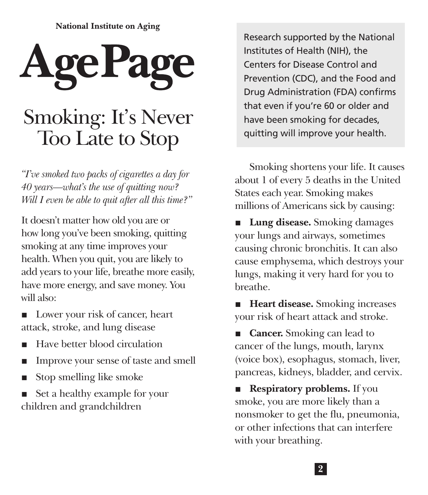**National Institute on Aging** 

# **AgePag** [Smoking: It's Never](https://www.nia.nih.gov/health/quitting-smoking-older-adults)  Too Late to Stop

*"I've smoked two packs of cigarettes a day for 40 years—what's the use of quitting now? Will I even be able to quit after all this time?"*

It doesn't matter how old you are or how long you've been smoking, quitting smoking at any time improves your health. When you quit, you are likely to add years to your life, breathe more easily, have more energy, and save money. You will also:

- Lower your risk of [cancer,](https://www.cancer.gov) heart [attack,](https://www.nia.nih.gov/health/what-heart-attack) [stroke](https://www.nia.nih.gov/health/stroke), and [lung disease](https://www.nhlbi.nih.gov/science/lung-diseases)
- Have better blood circulation
- Improve your [sense of taste and smell](https://www.nia.nih.gov/health/smell-and-taste)
- Stop smelling like smoke
- Set a healthy example for your children and grandchildren

Research supported by the [National](https://www.nih.gov)  [Institutes of Health \(NIH\)](https://www.nih.gov), the [Centers for Disease Control and](https://www.cdc.gov)  [Prevention \(CDC\),](https://www.cdc.gov) and the [Food and](https://www.fda.gov)  [Drug Administration \(FDA\)](https://www.fda.gov) confirms that even if you're 60 or older and have been smoking for decades, quitting will improve your health.

Smoking shortens your life. [It causes](https://www.cdc.gov/tobacco/data_statistics/fact_sheets/fast_facts/index.htm)  [about 1 of every 5 deaths in the United](https://www.cdc.gov/tobacco/data_statistics/fact_sheets/fast_facts/index.htm)  [States](https://www.cdc.gov/tobacco/data_statistics/fact_sheets/fast_facts/index.htm) each year. Smoking makes millions of Americans sick by causing:

■ **Lung disease.** Smoking damages your lungs and airways, sometimes causing chronic [bronchitis.](https://www.nhlbi.nih.gov/health-topics/bronchitis) It can also cause [emphysema,](https://www.nhlbi.nih.gov/health/educational/copd/what-is-copd/) which destroys your lungs, making it very hard for you to breathe.

■ **Heart disease.** Smoking increases your risk of heart attack and stroke.

**Cancer.** Smoking can lead to [cancer](https://www.cancer.gov/about-cancer) of the lungs, mouth, larynx (voice box), esophagus, stomach, liver, pancreas, kidneys, bladder, and cervix.

**Respiratory problems.** If you smoke, you are more likely than a nonsmoker to get the [flu,](https://www.nia.nih.gov/health/all-about-flu-and-how-prevent-it) [pneumonia](https://www.nhlbi.nih.gov/health-topics/pneumonia), or other infections that can interfere with your breathing.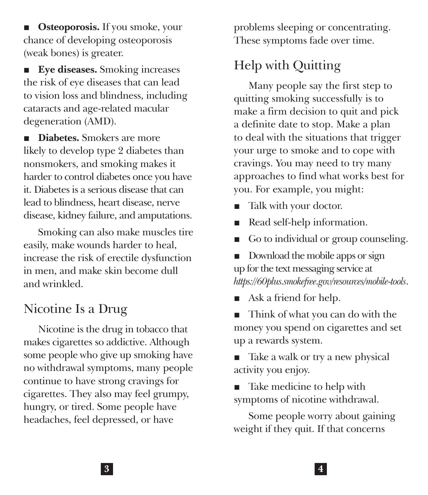■ **Osteoporosis.** If you smoke, your chance of developing [osteoporosis](https://www.bones.nih.gov/health-info/bone/osteoporosis/osteoporosis-ff) (weak bones) is greater.

**Eye diseases.** Smoking increases the risk of eye diseases that can lead to vision loss and blindness, including cataracts and age-related macular degeneration (AMD).

■ **Diabetes.** Smokers are more likely to develop type 2 diabetes than nonsmokers, and smoking makes it harder to control diabetes once you have it. [Diabetes](https://www.nia.nih.gov/health/diabetes-older-people) is a serious disease that can lead to blindness, heart disease, nerve disease, kidney failure, and amputations.

Smoking can also make muscles tire easily, make wounds harder to heal, increase the risk of erectile dysfunction in men, and make skin become dull and wrinkled.

## Nicotine Is a Drug

Nicotine is the drug in tobacco that makes cigarettes so addictive. Although some people who give up smoking have no withdrawal symptoms, many people continue to have strong cravings for cigarettes. They also may feel grumpy, hungry, or [tired](https://www.nia.nih.gov/health/fatigue). Some people have headaches, feel [depressed,](https://www.nia.nih.gov/health/depression-and-older-adults) or have

problems [sleeping](https://www.nia.nih.gov/health/good-nights-sleep) or concentrating. These symptoms fade over time.

## Help with Quitting

Many people say the first step to quitting smoking successfully is to make a firm decision to quit and pick a definite date to stop. Make a plan to deal with the situations that trigger your urge to smoke and to cope with cravings. You may need to try many approaches to find what works best for you. For example, you might:

- [Talk with your doctor.](https://www.nia.nih.gov/health/why-being-able-talk-your-doctor-matters)
- Read self-help information.
- Go to individual or group counseling.
- Download the mobile apps or sign up for the text messaging service at *<https://60plus.smokefree.gov/resources/mobile-tools>*.
- Ask a friend for help.
- Think of what you can do with the money you spend on cigarettes and set up a rewards system.
- Take a walk or try a new physical [activity](https://www.nia.nih.gov/health/exercise-and-physical-activity-getting-fit-life) you enjoy.
- Take medicine to help with symptoms of nicotine withdrawal.

Some people worry about gaining weight if they quit. If that concerns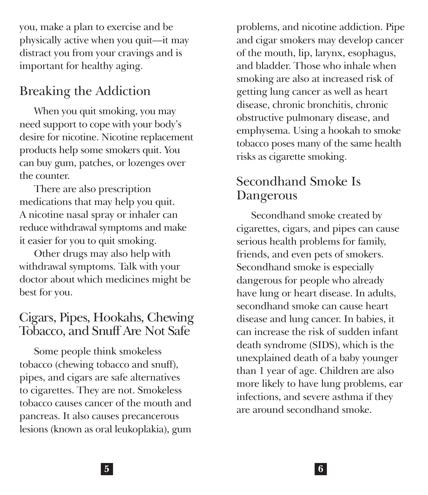you, make a plan to exercise and be physically active when you quit—it may distract you from your cravings and is important for healthy aging.

## Breaking the Addiction

When you quit smoking, you may need support to cope with your body's desire for nicotine. Nicotine replacement products help some smokers quit. You can buy gum, patches, or lozenges over the counter.

There are also prescription medications that may help you quit. A nicotine nasal spray or inhaler can reduce withdrawal symptoms and make it easier for you to quit smoking.

Other drugs may also help with withdrawal symptoms. [Talk with your](https://www.nia.nih.gov/health/what-do-i-need-tell-doctor)  [doctor](https://www.nia.nih.gov/health/what-do-i-need-tell-doctor) about which [medicines](https://www.nia.nih.gov/health/safe-use-medicines-older-adults) might be best for you.

#### Cigars, Pipes, Hookahs, Chewing Tobacco, and Snuff Are Not Safe

Some people think smokeless tobacco (chewing tobacco and snuff), pipes, and cigars are safe alternatives to cigarettes. They are not. Smokeless tobacco causes cancer of the mouth and pancreas. It also causes precancerous lesions (known as [oral leukoplakia](https://www.cancer.gov/types/head-and-neck/patient/adult/lip-mouth-treatment-pdq)), [gum](https://www.nia.nih.gov/health/taking-care-your-teeth-and-mouth)  [problems](https://www.nia.nih.gov/health/taking-care-your-teeth-and-mouth), and nicotine addiction. Pipe and cigar smokers may develop cancer of the mouth, lip, larynx, esophagus, and bladder. Those who inhale when smoking are also at increased risk of getting lung cancer as well as heart disease, chronic bronchitis, [chronic](https://www.nhlbi.nih.gov/health-topics/copd)  [obstructive pulmonary disease,](https://www.nhlbi.nih.gov/health-topics/copd) and emphysema. [Using a hookah to smoke](https://www.cdc.gov/tobacco/data_statistics/fact_sheets/tobacco_industry/hookahs/index.htm)  [tobacco](https://www.cdc.gov/tobacco/data_statistics/fact_sheets/tobacco_industry/hookahs/index.htm) poses many of the same health risks as cigarette smoking.

### Secondhand Smoke Is Dangerous

Secondhand smoke created by cigarettes, cigars, and pipes can cause serious health problems for family, friends, and even pets of smokers. Secondhand smoke is especially dangerous for people who already have lung or heart disease. In adults, secondhand smoke can cause heart disease and lung cancer. In babies, it can increase the risk of [sudden infant](https://medlineplus.gov/suddeninfantdeathsyndrome.html)  [death syndrome \(SIDS\),](https://medlineplus.gov/suddeninfantdeathsyndrome.html) which is the unexplained death of a baby younger than 1 year of age. Children are also more likely to have lung problems, ear infections, and severe asthma if they are around secondhand smoke.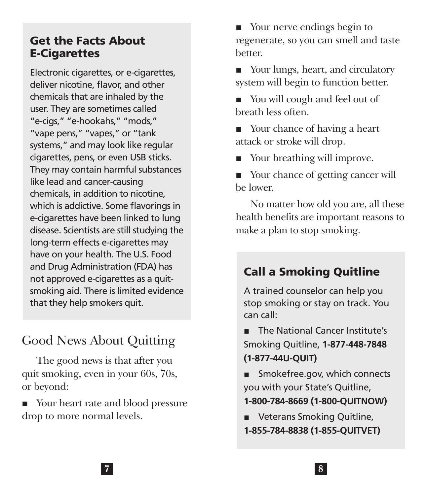#### Get the Facts About E-Cigarettes

Electronic cigarettes, or [e-cigarettes,](https://www.cdc.gov/tobacco/basic_information/e-cigarettes/pdfs/Electronic-Cigarettes-Infographic-508.pdf) deliver nicotine, flavor, and other chemicals that are inhaled by the user. They are sometimes called "e-cigs," "e-hookahs," "mods," "vape pens," "vapes," or "tank systems," and may look like regular cigarettes, pens, or even USB sticks. They may contain harmful substances like lead and cancer-causing chemicals, in addition to nicotine, which is addictive. Some flavorings in e-cigarettes have been linked to lung disease. Scientists are still studying the long-term effects e-cigarettes may have on your health. The U.S. Food and Drug Administration (FDA) has not approved e-cigarettes as a quitsmoking aid. There is limited evidence that they help smokers quit.

## Good News About Quitting

The good news is that after you quit smoking, even in your 60s, 70s, or beyond:

■ Your heart rate and blood pressure drop to more normal levels.

■ Your nerve endings begin to regenerate, so you can smell and taste better.

■ Your lungs, heart, and circulatory system will begin to function better.

■ You will cough and feel out of breath less often.

■ Your chance of having a heart attack or stroke will drop.

■ Your breathing will improve.

■ Your chance of getting cancer will be lower.

No matter how old you are, all these health benefits are important reasons to make a plan to stop smoking.

#### Call a Smoking Quitline

A trained counselor can help you stop smoking or stay on track. You can call:

The [National Cancer Institute's](https://www.cancer.gov/) Smoking Quitline, **1-877-448-7848 (1-877-44U-QUIT)**

■ [Smokefree.gov,](https://smokefree.gov/) which connects you with your State's Quitline, **1-800-784-8669 (1-800-QUITNOW)**

■ Veterans Smoking Quitline,

**1-855-784-8838 (1-855-QUITVET)**